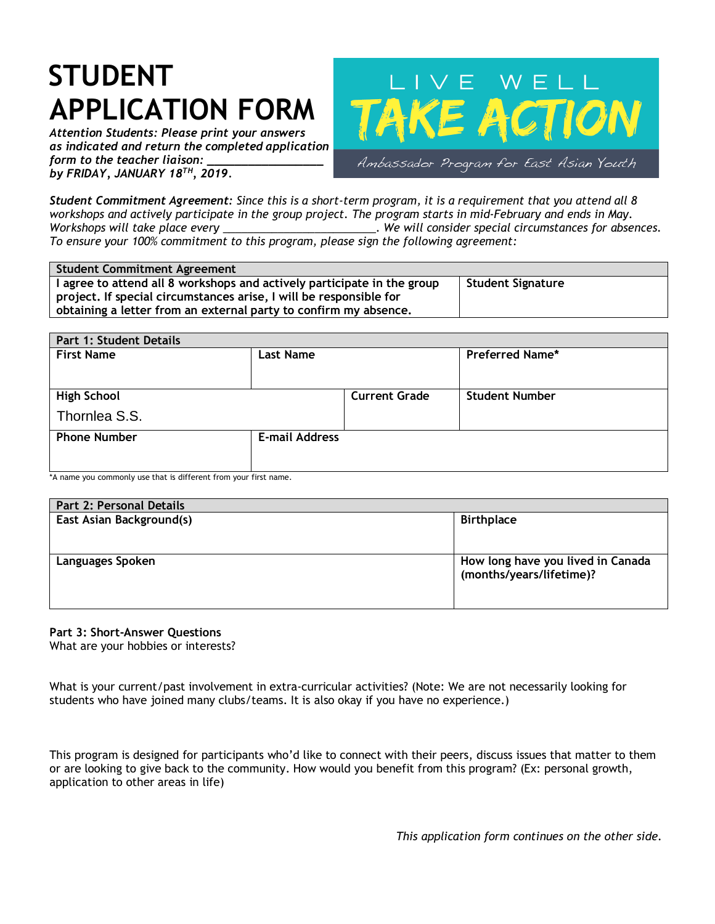## **STUDENT APPLICATION FORM**

*Attention Students: Please print your answers as indicated and return the completed application form to the teacher liaison: by FRIDAY, JANUARY 18TH, 2019.*



*Student Commitment Agreement: Since this is a short-term program, it is a requirement that you attend all 8 workshops and actively participate in the group project. The program starts in mid-February and ends in May. Workshops will take place every \_\_\_\_\_\_\_\_\_\_\_\_\_\_\_\_\_\_\_\_\_\_\_\_\_. We will consider special circumstances for absences. To ensure your 100% commitment to this program, please sign the following agreement:*

| Student Commitment Agreement                                            |                          |
|-------------------------------------------------------------------------|--------------------------|
| I agree to attend all 8 workshops and actively participate in the group | <b>Student Signature</b> |
| project. If special circumstances arise, I will be responsible for      |                          |
| obtaining a letter from an external party to confirm my absence.        |                          |

| <b>Part 1: Student Details</b><br><b>First Name</b> | <b>Last Name</b>      |                      | <b>Preferred Name*</b> |  |
|-----------------------------------------------------|-----------------------|----------------------|------------------------|--|
| <b>High School</b><br>Thornlea S.S.                 |                       | <b>Current Grade</b> | <b>Student Number</b>  |  |
| <b>Phone Number</b>                                 | <b>E-mail Address</b> |                      |                        |  |

A name you commonly use that is different from your first name.

| Part 2: Personal Details |                                                               |
|--------------------------|---------------------------------------------------------------|
| East Asian Background(s) | <b>Birthplace</b>                                             |
| Languages Spoken         | How long have you lived in Canada<br>(months/years/lifetime)? |

## **Part 3: Short-Answer Questions** What are your hobbies or interests?

What is your current/past involvement in extra-curricular activities? (Note: We are not necessarily looking for students who have joined many clubs/teams. It is also okay if you have no experience.)

This program is designed for participants who'd like to connect with their peers, discuss issues that matter to them or are looking to give back to the community. How would you benefit from this program? (Ex: personal growth, application to other areas in life)